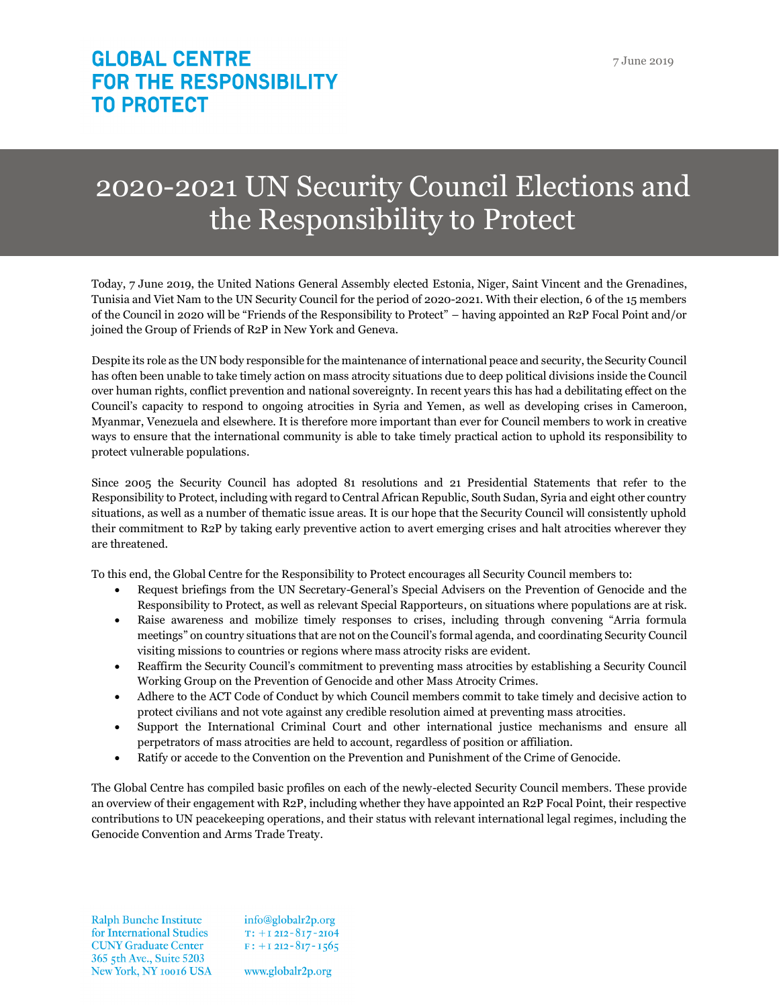# 2020-2021 UN Security Council Elections and the Responsibility to Protect

Today, 7 June 2019, the United Nations General Assembly elected Estonia, Niger, Saint Vincent and the Grenadines, Tunisia and Viet Nam to the UN Security Council for the period of 2020-2021. With their election, 6 of the 15 members of the Council in 2020 will be "Friends of the Responsibility to Protect" – having appointed an R2P Focal Point and/or joined the Group of Friends of R2P in New York and Geneva.

Despite its role as the UN body responsible for the maintenance of international peace and security, the Security Council has often been unable to take timely action on mass atrocity situations due to deep political divisions inside the Council over human rights, conflict prevention and national sovereignty. In recent years this has had a debilitating effect on the Council's capacity to respond to ongoing atrocities in Syria and Yemen, as well as developing crises in Cameroon, Myanmar, Venezuela and elsewhere. It is therefore more important than ever for Council members to work in creative ways to ensure that the international community is able to take timely practical action to uphold its responsibility to protect vulnerable populations.

Since 2005 the Security Council has adopted 81 resolutions and 21 Presidential Statements that refer to the Responsibility to Protect, including with regard to Central African Republic, South Sudan, Syria and eight other country situations, as well as a number of thematic issue areas. It is our hope that the Security Council will consistently uphold their commitment to R2P by taking early preventive action to avert emerging crises and halt atrocities wherever they are threatened.

To this end, the Global Centre for the Responsibility to Protect encourages all Security Council members to:

- Request briefings from the UN Secretary-General's Special Advisers on the Prevention of Genocide and the Responsibility to Protect, as well as relevant Special Rapporteurs, on situations where populations are at risk.
- Raise awareness and mobilize timely responses to crises, including through convening "Arria formula meetings" on country situations that are not on the Council's formal agenda, and coordinating Security Council visiting missions to countries or regions where mass atrocity risks are evident.
- Reaffirm the Security Council's commitment to preventing mass atrocities by establishing a Security Council Working Group on the Prevention of Genocide and other Mass Atrocity Crimes.
- Adhere to the ACT Code of Conduct by which Council members commit to take timely and decisive action to protect civilians and not vote against any credible resolution aimed at preventing mass atrocities.
- Support the International Criminal Court and other international justice mechanisms and ensure all perpetrators of mass atrocities are held to account, regardless of position or affiliation.
- Ratify or accede to the Convention on the Prevention and Punishment of the Crime of Genocide.

The Global Centre has compiled basic profiles on each of the newly-elected Security Council members. These provide an overview of their engagement with R2P, including whether they have appointed an R2P Focal Point, their respective contributions to UN peacekeeping operations, and their status with relevant international legal regimes, including the Genocide Convention and Arms Trade Treaty.

**Ralph Bunche Institute** for International Studies **CUNY Graduate Center** 365 5th Ave., Suite 5203 New York, NY 10016 USA info@globalr2p.org  $T: +12I2 - 8I7 - 2I04$  $F: +12I2 - 8I7 - 1565$ 

www.globalr2p.org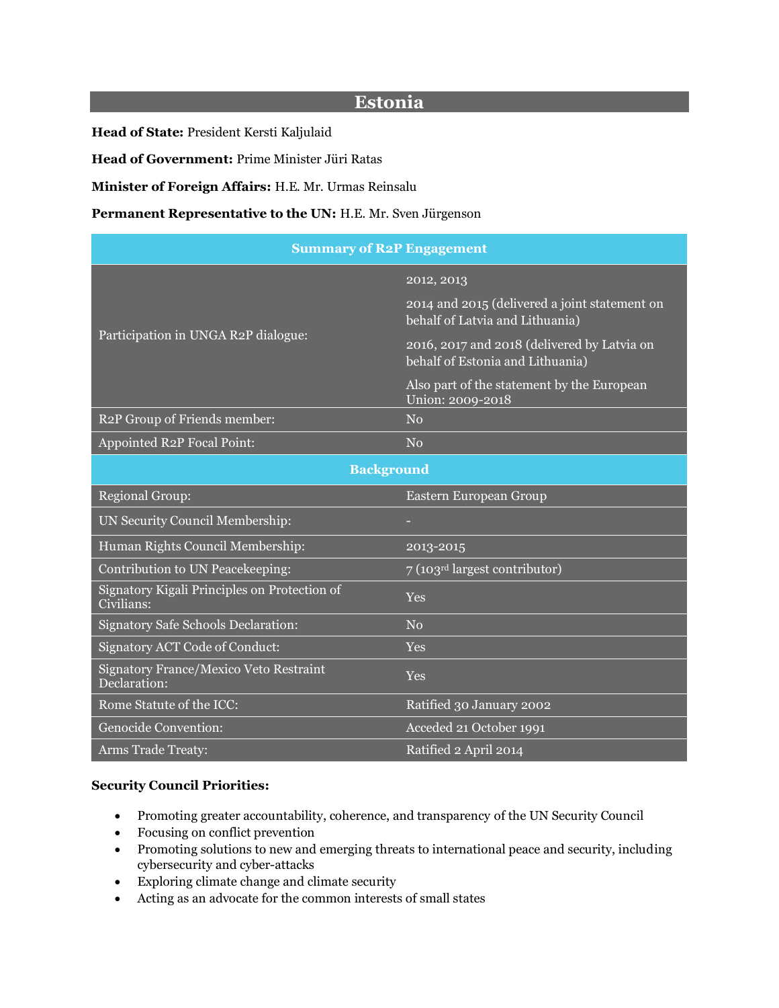# **Estonia**

**Head of State:** President Kersti Kaljulaid

**Head of Government:** Prime Minister Jüri Ratas

**Minister of Foreign Affairs:** H.E. Mr. Urmas Reinsalu

#### Permanent Representative to the UN: H.E. Mr. Sven Jürgenson

| <b>Summary of R2P Engagement</b>                           |                                                                                  |  |
|------------------------------------------------------------|----------------------------------------------------------------------------------|--|
| Participation in UNGA R2P dialogue:                        | 2012, 2013                                                                       |  |
|                                                            | 2014 and 2015 (delivered a joint statement on<br>behalf of Latvia and Lithuania) |  |
|                                                            | 2016, 2017 and 2018 (delivered by Latvia on<br>behalf of Estonia and Lithuania)  |  |
|                                                            | Also part of the statement by the European<br>Union: 2009-2018                   |  |
| R2P Group of Friends member:                               | No                                                                               |  |
| Appointed R2P Focal Point:                                 | N <sub>o</sub>                                                                   |  |
| <b>Background</b>                                          |                                                                                  |  |
| <b>Regional Group:</b>                                     | Eastern European Group                                                           |  |
| UN Security Council Membership:                            |                                                                                  |  |
| Human Rights Council Membership:                           | 2013-2015                                                                        |  |
| Contribution to UN Peacekeeping:                           | 7 (103rd largest contributor)                                                    |  |
| Signatory Kigali Principles on Protection of<br>Civilians: | <b>Yes</b>                                                                       |  |
| <b>Signatory Safe Schools Declaration:</b>                 | No                                                                               |  |
| Signatory ACT Code of Conduct:                             | <b>Yes</b>                                                                       |  |
| Signatory France/Mexico Veto Restraint<br>Declaration:     | Yes                                                                              |  |
| Rome Statute of the ICC:                                   | Ratified 30 January 2002                                                         |  |
| Genocide Convention:                                       | Acceded 21 October 1991                                                          |  |
| <b>Arms Trade Treaty:</b>                                  | Ratified 2 April 2014                                                            |  |

#### **Security Council Priorities:**

- Promoting greater accountability, coherence, and transparency of the UN Security Council
- Focusing on conflict prevention
- Promoting solutions to new and emerging threats to international peace and security, including cybersecurity and cyber-attacks
- Exploring climate change and climate security
- Acting as an advocate for the common interests of small states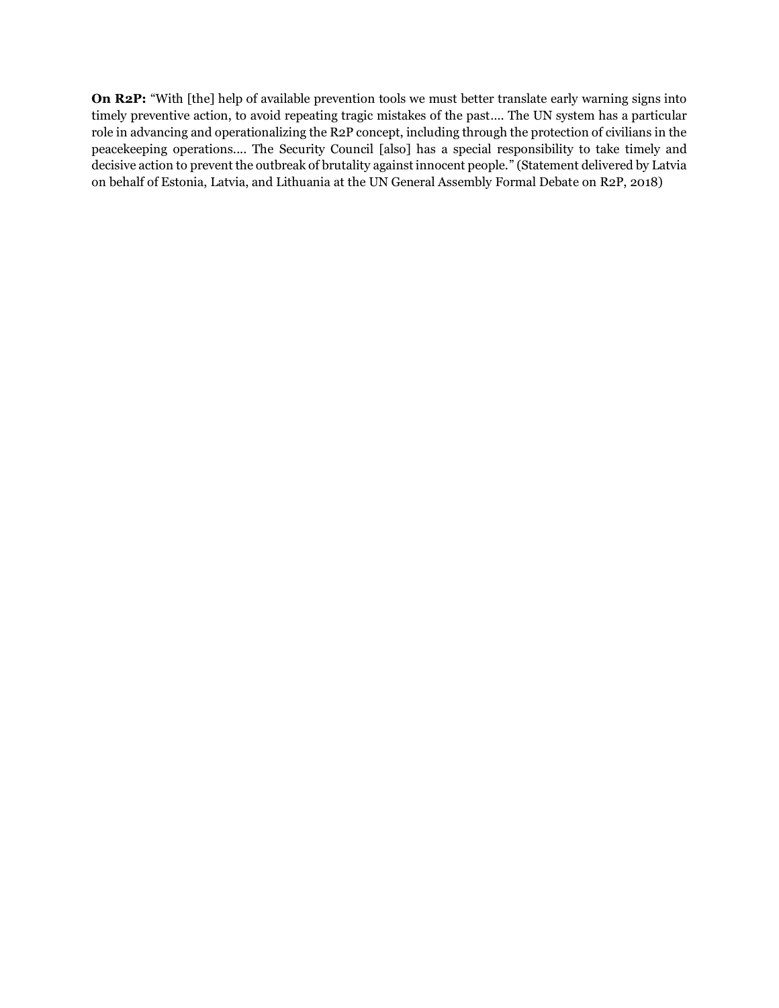**On R2P:** "With [the] help of available prevention tools we must better translate early warning signs into timely preventive action, to avoid repeating tragic mistakes of the past…. The UN system has a particular role in advancing and operationalizing the R2P concept, including through the protection of civilians in the peacekeeping operations.... The Security Council [also] has a special responsibility to take timely and decisive action to prevent the outbreak of brutality against innocent people." (Statement delivered by Latvia on behalf of Estonia, Latvia, and Lithuania at the UN General Assembly Formal Debate on R2P, 2018)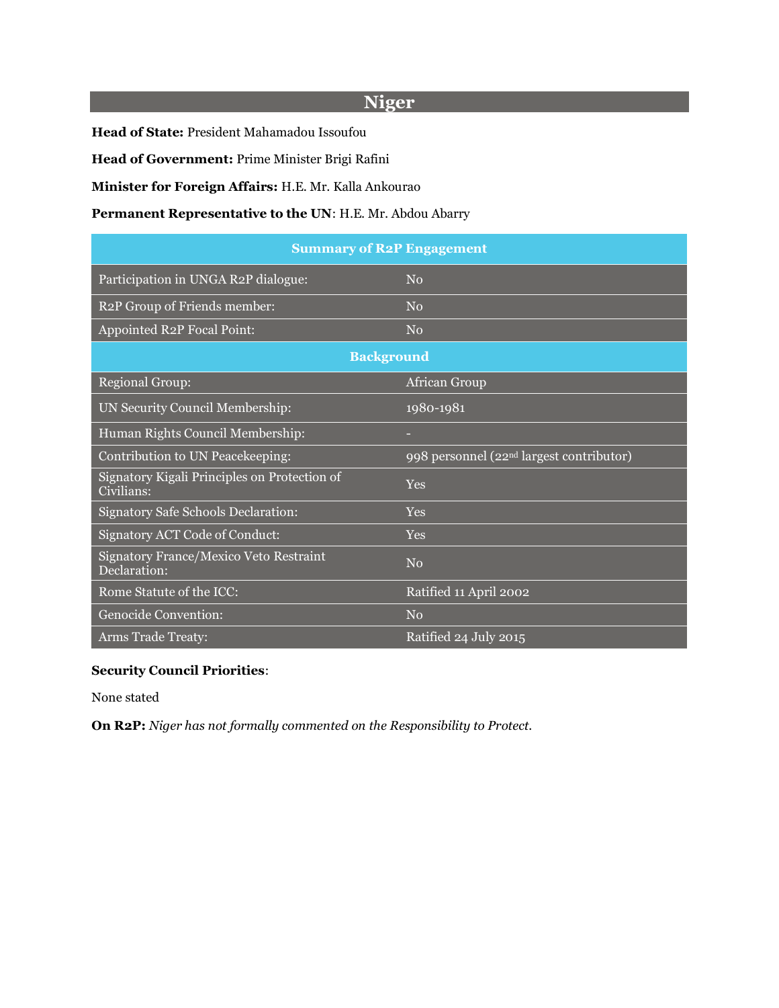# **Niger**

**Head of State:** President Mahamadou Issoufou

**Head of Government:** Prime Minister Brigi Rafini

**Minister for Foreign Affairs:** H.E. Mr. Kalla Ankourao

#### **Permanent Representative to the UN**: H.E. Mr. Abdou Abarry

| <b>Summary of R2P Engagement</b>                           |                                                      |  |
|------------------------------------------------------------|------------------------------------------------------|--|
| Participation in UNGA R2P dialogue:                        | No                                                   |  |
| R2P Group of Friends member:                               | $\rm No$                                             |  |
| Appointed R2P Focal Point:                                 | No                                                   |  |
| <b>Background</b>                                          |                                                      |  |
| <b>Regional Group:</b>                                     | African Group                                        |  |
| UN Security Council Membership:                            | 1980-1981                                            |  |
| Human Rights Council Membership:                           |                                                      |  |
| Contribution to UN Peacekeeping:                           | 998 personnel (22 <sup>nd</sup> largest contributor) |  |
| Signatory Kigali Principles on Protection of<br>Civilians: | <b>Yes</b>                                           |  |
| Signatory Safe Schools Declaration:                        | Yes                                                  |  |
| <b>Signatory ACT Code of Conduct:</b>                      | Yes                                                  |  |
| Signatory France/Mexico Veto Restraint<br>Declaration:     | No                                                   |  |
| Rome Statute of the ICC:                                   | Ratified 11 April 2002                               |  |
| Genocide Convention:                                       | No                                                   |  |
| <b>Arms Trade Treaty:</b>                                  | Ratified 24 July 2015                                |  |

# **Security Council Priorities**:

None stated

**On R2P:** *Niger has not formally commented on the Responsibility to Protect.*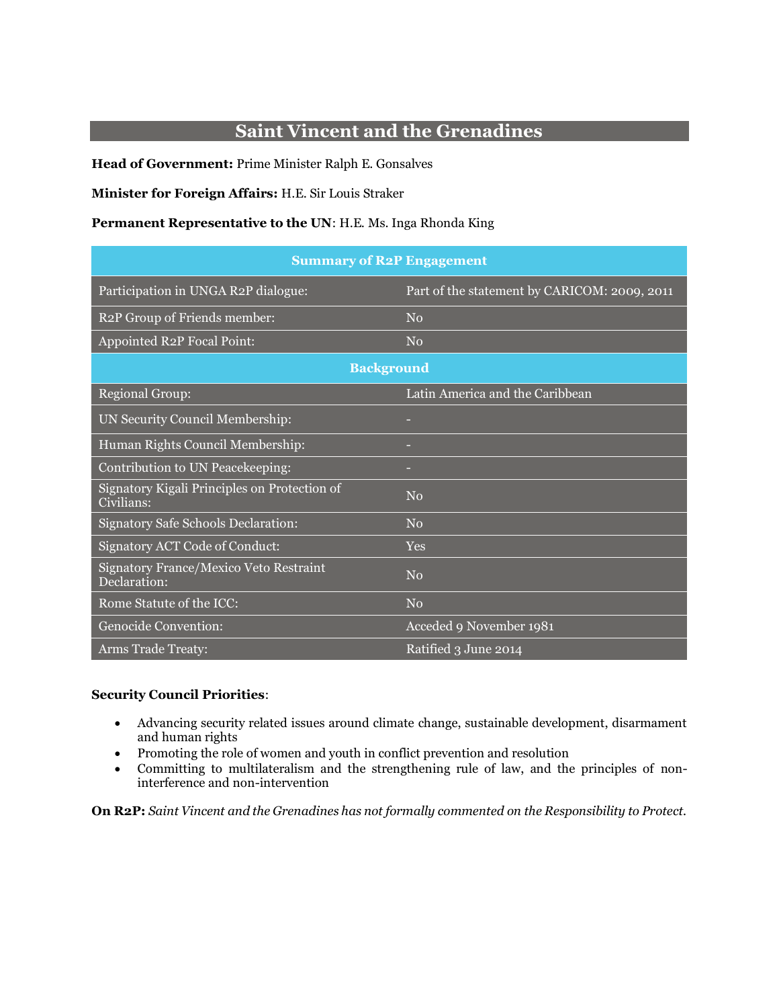# **Saint Vincent and the Grenadines**

**Head of Government:** Prime Minister Ralph E. Gonsalves

#### **Minister for Foreign Affairs:** H.E. Sir Louis Straker

#### **Permanent Representative to the UN**: H.E. Ms. Inga Rhonda King

| <b>Summary of R2P Engagement</b>                           |                                              |  |
|------------------------------------------------------------|----------------------------------------------|--|
| Participation in UNGA R2P dialogue:                        | Part of the statement by CARICOM: 2009, 2011 |  |
| R2P Group of Friends member:                               | No                                           |  |
| Appointed R2P Focal Point:                                 | No                                           |  |
| <b>Background</b>                                          |                                              |  |
| <b>Regional Group:</b>                                     | Latin America and the Caribbean              |  |
| UN Security Council Membership:                            |                                              |  |
| Human Rights Council Membership:                           |                                              |  |
| Contribution to UN Peacekeeping:                           |                                              |  |
| Signatory Kigali Principles on Protection of<br>Civilians: | No                                           |  |
| <b>Signatory Safe Schools Declaration:</b>                 | No                                           |  |
| Signatory ACT Code of Conduct:                             | <b>Yes</b>                                   |  |
| Signatory France/Mexico Veto Restraint<br>Declaration:     | No                                           |  |
| Rome Statute of the ICC:                                   | No                                           |  |
| Genocide Convention:                                       | Acceded 9 November 1981                      |  |
| <b>Arms Trade Treaty:</b>                                  | Ratified 3 June 2014                         |  |

#### **Security Council Priorities**:

- Advancing security related issues around climate change, sustainable development, disarmament and human rights
- Promoting the role of women and youth in conflict prevention and resolution
- Committing to multilateralism and the strengthening rule of law, and the principles of noninterference and non-intervention

**On R2P:** *Saint Vincent and the Grenadines has not formally commented on the Responsibility to Protect.*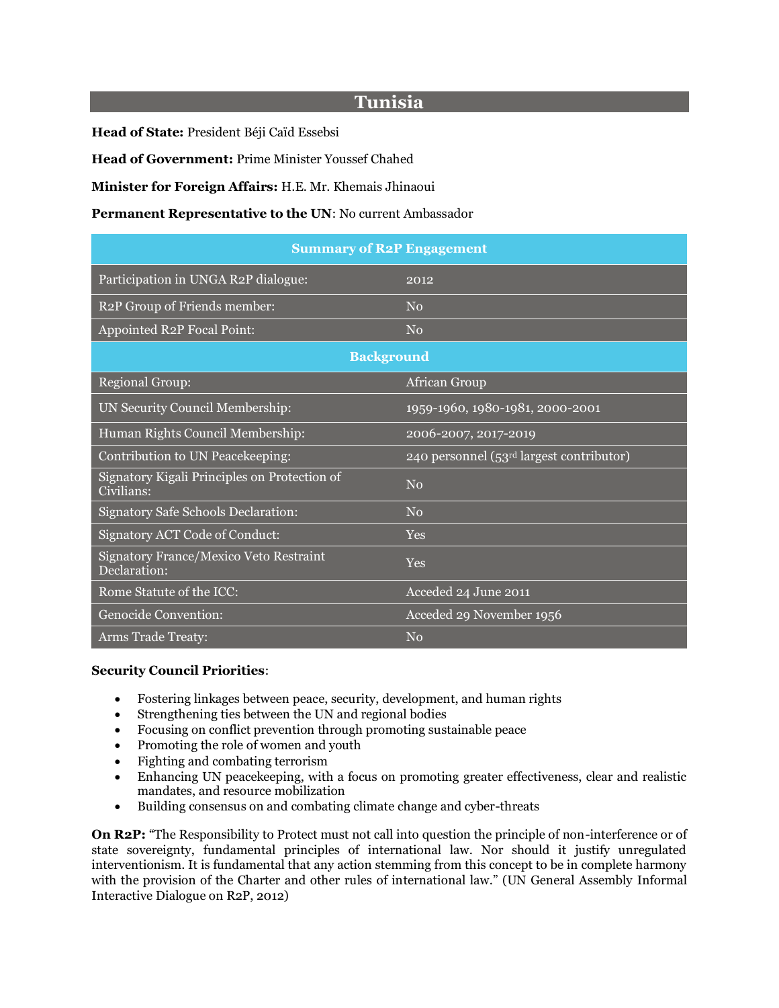# **Tunisia**

**Head of State:** President Béji Caïd Essebsi

**Head of Government:** Prime Minister Youssef Chahed

**Minister for Foreign Affairs:** H.E. Mr. Khemais Jhinaoui

#### **Permanent Representative to the UN**: No current Ambassador

| <b>Summary of R2P Engagement</b>                           |                                            |  |
|------------------------------------------------------------|--------------------------------------------|--|
| Participation in UNGA R2P dialogue:                        | 2012                                       |  |
| R2P Group of Friends member:                               | No                                         |  |
| <b>Appointed R2P Focal Point:</b>                          | No                                         |  |
| <b>Background</b>                                          |                                            |  |
| <b>Regional Group:</b>                                     | African Group                              |  |
| UN Security Council Membership:                            | 1959-1960, 1980-1981, 2000-2001            |  |
| Human Rights Council Membership:                           | 2006-2007, 2017-2019                       |  |
| Contribution to UN Peacekeeping:                           | 240 personnel $(53rd$ largest contributor) |  |
| Signatory Kigali Principles on Protection of<br>Civilians: | No                                         |  |
| Signatory Safe Schools Declaration:                        | No                                         |  |
| Signatory ACT Code of Conduct:                             | <b>Yes</b>                                 |  |
| Signatory France/Mexico Veto Restraint<br>Declaration:     | <b>Yes</b>                                 |  |
| Rome Statute of the ICC:                                   | Acceded 24 June 2011                       |  |
| Genocide Convention:                                       | Acceded 29 November 1956                   |  |
| <b>Arms Trade Treaty:</b>                                  | No                                         |  |

#### **Security Council Priorities**:

- Fostering linkages between peace, security, development, and human rights
- Strengthening ties between the UN and regional bodies
- Focusing on conflict prevention through promoting sustainable peace
- Promoting the role of women and youth
- Fighting and combating terrorism
- Enhancing UN peace keeping, with a focus on promoting greater effectiveness, clear and realistic mandates, and resource mobilization
- Building consensus on and combating climate change and cyber-threats

**On R2P:** "The Responsibility to Protect must not call into question the principle of non-interference or of state sovereignty, fundamental principles of international law. Nor should it justify unregulated interventionism. It is fundamental that any action stemming from this concept to be in complete harmony with the provision of the Charter and other rules of international law." (UN General Assembly Informal Interactive Dialogue on R2P, 2012)